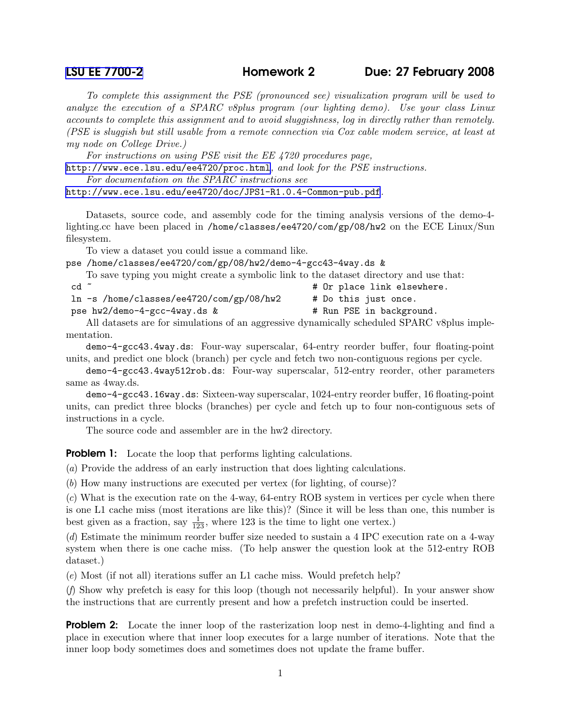## [LSU EE 7700-2](http://www.ece.lsu.edu/gp/) Homework 2 Due: 27 February 2008

To complete this assignment the PSE (pronounced see) visualization program will be used to analyze the execution of a SPARC v8plus program (our lighting demo). Use your class Linux accounts to complete this assignment and to avoid sluggishness, log in directly rather than remotely. (PSE is sluggish but still usable from a remote connection via Cox cable modem service, at least at my node on College Drive.)

For instructions on using PSE visit the EE 4720 procedures page,

<http://www.ece.lsu.edu/ee4720/proc.html>, and look for the PSE instructions.

For documentation on the SPARC instructions see

<http://www.ece.lsu.edu/ee4720/doc/JPS1-R1.0.4-Common-pub.pdf>.

Datasets, source code, and assembly code for the timing analysis versions of the demo-4 lighting.cc have been placed in /home/classes/ee4720/com/gp/08/hw2 on the ECE Linux/Sun filesystem.

To view a dataset you could issue a command like.

pse /home/classes/ee4720/com/gp/08/hw2/demo-4-gcc43-4way.ds &

To save typing you might create a symbolic link to the dataset directory and use that:

| cd ~ |  |  |  |  |  | # Or place link elsewhere. |
|------|--|--|--|--|--|----------------------------|
|      |  |  |  |  |  |                            |

ln -s /home/classes/ee4720/com/gp/08/hw2 # Do this just once.

pse hw2/demo-4-gcc-4way.ds & # Run PSE in background.

All datasets are for simulations of an aggressive dynamically scheduled SPARC v8plus implementation.

demo-4-gcc43.4way.ds: Four-way superscalar, 64-entry reorder buffer, four floating-point units, and predict one block (branch) per cycle and fetch two non-contiguous regions per cycle.

demo-4-gcc43.4way512rob.ds: Four-way superscalar, 512-entry reorder, other parameters same as 4way.ds.

demo-4-gcc43.16way.ds: Sixteen-way superscalar, 1024-entry reorder buffer, 16 floating-point units, can predict three blocks (branches) per cycle and fetch up to four non-contiguous sets of instructions in a cycle.

The source code and assembler are in the hw2 directory.

**Problem 1:** Locate the loop that performs lighting calculations.

(a) Provide the address of an early instruction that does lighting calculations.

(b) How many instructions are executed per vertex (for lighting, of course)?

(c) What is the execution rate on the 4-way, 64-entry ROB system in vertices per cycle when there is one L1 cache miss (most iterations are like this)? (Since it will be less than one, this number is best given as a fraction, say  $\frac{1}{123}$ , where 123 is the time to light one vertex.)

(d) Estimate the minimum reorder buffer size needed to sustain a 4 IPC execution rate on a 4-way system when there is one cache miss. (To help answer the question look at the 512-entry ROB dataset.)

(e) Most (if not all) iterations suffer an L1 cache miss. Would prefetch help?

(f) Show why prefetch is easy for this loop (though not necessarily helpful). In your answer show the instructions that are currently present and how a prefetch instruction could be inserted.

**Problem 2:** Locate the inner loop of the rasterization loop nest in demo-4-lighting and find a place in execution where that inner loop executes for a large number of iterations. Note that the inner loop body sometimes does and sometimes does not update the frame buffer.